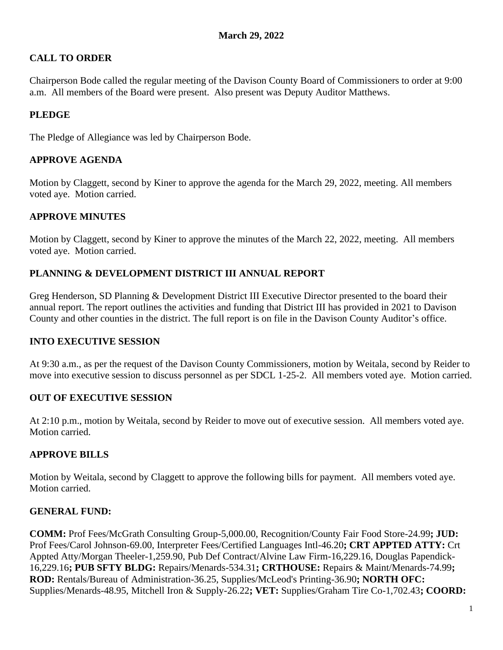# **CALL TO ORDER**

Chairperson Bode called the regular meeting of the Davison County Board of Commissioners to order at 9:00 a.m. All members of the Board were present. Also present was Deputy Auditor Matthews.

## **PLEDGE**

The Pledge of Allegiance was led by Chairperson Bode.

### **APPROVE AGENDA**

Motion by Claggett, second by Kiner to approve the agenda for the March 29, 2022, meeting. All members voted aye. Motion carried.

## **APPROVE MINUTES**

Motion by Claggett, second by Kiner to approve the minutes of the March 22, 2022, meeting. All members voted aye. Motion carried.

## **PLANNING & DEVELOPMENT DISTRICT III ANNUAL REPORT**

Greg Henderson, SD Planning & Development District III Executive Director presented to the board their annual report. The report outlines the activities and funding that District III has provided in 2021 to Davison County and other counties in the district. The full report is on file in the Davison County Auditor's office.

#### **INTO EXECUTIVE SESSION**

At 9:30 a.m., as per the request of the Davison County Commissioners, motion by Weitala, second by Reider to move into executive session to discuss personnel as per SDCL 1-25-2. All members voted aye. Motion carried.

#### **OUT OF EXECUTIVE SESSION**

At 2:10 p.m., motion by Weitala, second by Reider to move out of executive session. All members voted aye. Motion carried.

## **APPROVE BILLS**

Motion by Weitala, second by Claggett to approve the following bills for payment. All members voted aye. Motion carried.

## **GENERAL FUND:**

**COMM:** Prof Fees/McGrath Consulting Group-5,000.00, Recognition/County Fair Food Store-24.99**; JUD:** Prof Fees/Carol Johnson-69.00, Interpreter Fees/Certified Languages Intl-46.20**; CRT APPTED ATTY:** Crt Appted Atty/Morgan Theeler-1,259.90, Pub Def Contract/Alvine Law Firm-16,229.16, Douglas Papendick-16,229.16**; PUB SFTY BLDG:** Repairs/Menards-534.31**; CRTHOUSE:** Repairs & Maint/Menards-74.99**; ROD:** Rentals/Bureau of Administration-36.25, Supplies/McLeod's Printing-36.90**; NORTH OFC:** Supplies/Menards-48.95, Mitchell Iron & Supply-26.22**; VET:** Supplies/Graham Tire Co-1,702.43**; COORD:**